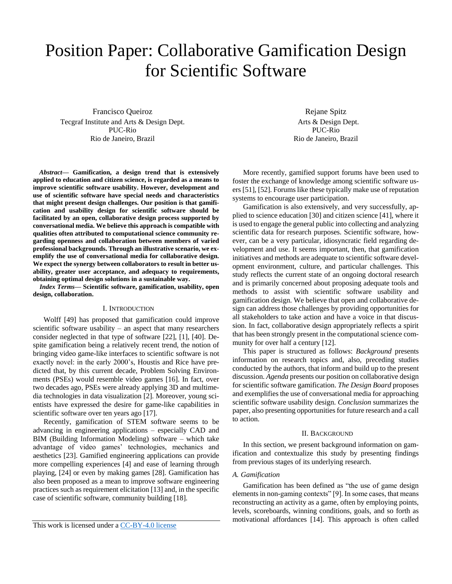# Position Paper: Collaborative Gamification Design for Scientific Software

Francisco Queiroz Tecgraf Institute and Arts & Design Dept. PUC-Rio Rio de Janeiro, Brazil

*Abstract***— Gamification, a design trend that is extensively applied to education and citizen science, is regarded as a means to improve scientific software usability. However, development and use of scientific software have special needs and characteristics that might present design challenges. Our position is that gamification and usability design for scientific software should be facilitated by an open, collaborative design process supported by conversational media. We believe this approach is compatible with qualities often attributed to computational science community regarding openness and collaboration between members of varied professional backgrounds. Through an illustrative scenario, we exemplify the use of conversational media for collaborative design. We expect the synergy between collaborators to result in better usability, greater user acceptance, and adequacy to requirements, obtaining optimal design solutions in a sustainable way.** 

*Index Terms***— Scientific software, gamification, usability, open design, collaboration.**

## I. INTRODUCTION

Wolff [49] has proposed that gamification could improve scientific software usability – an aspect that many researchers consider neglected in that type of software [22], [1], [40]. Despite gamification being a relatively recent trend, the notion of bringing video game-like interfaces to scientific software is not exactly novel: in the early 2000's, Houstis and Rice have predicted that, by this current decade, Problem Solving Environments (PSEs) would resemble video games [16]. In fact, over two decades ago, PSEs were already applying 3D and multimedia technologies in data visualization [2]. Moreover, young scientists have expressed the desire for game-like capabilities in scientific software over ten years ago [17].

Recently, gamification of STEM software seems to be advancing in engineering applications – especially CAD and BIM (Building Information Modeling) software – which take advantage of video games' technologies, mechanics and aesthetics [23]. Gamified engineering applications can provide more compelling experiences [4] and ease of learning through playing, [24] or even by making games [28]. Gamification has also been proposed as a mean to improve software engineering practices such as requirement elicitation [13] and, in the specific case of scientific software, community building [18].

This work is licensed under a [CC-BY-4.0 license](https://creativecommons.org/licenses/by/4.0/)

Rejane Spitz Arts & Design Dept. PUC-Rio Rio de Janeiro, Brazil

More recently, gamified support forums have been used to foster the exchange of knowledge among scientific software users [51], [52]. Forums like these typically make use of reputation systems to encourage user participation.

Gamification is also extensively, and very successfully, applied to science education [30] and citizen science [41], where it is used to engage the general public into collecting and analyzing scientific data for research purposes. Scientific software, however, can be a very particular, idiosyncratic field regarding development and use. It seems important, then, that gamification initiatives and methods are adequate to scientific software development environment, culture, and particular challenges. This study reflects the current state of an ongoing doctoral research and is primarily concerned about proposing adequate tools and methods to assist with scientific software usability and gamification design. We believe that open and collaborative design can address those challenges by providing opportunities for all stakeholders to take action and have a voice in that discussion. In fact, collaborative design appropriately reflects a spirit that has been strongly present in the computational science community for over half a century [12].

This paper is structured as follows: *Background* presents information on research topics and, also, preceding studies conducted by the authors, that inform and build up to the present discussion. *Agenda* presents our position on collaborative design for scientific software gamification. *The Design Board* proposes and exemplifies the use of conversational media for approaching scientific software usability design. *Conclusion* summarizes the paper, also presenting opportunities for future research and a call to action.

#### II. BACKGROUND

In this section, we present background information on gamification and contextualize this study by presenting findings from previous stages of its underlying research.

# *A. Gamification*

Gamification has been defined as "the use of game design elements in non-gaming contexts" [9]. In some cases, that means reconstructing an activity as a game, often by employing points, levels, scoreboards, winning conditions, goals, and so forth as motivational affordances [14]. This approach is often called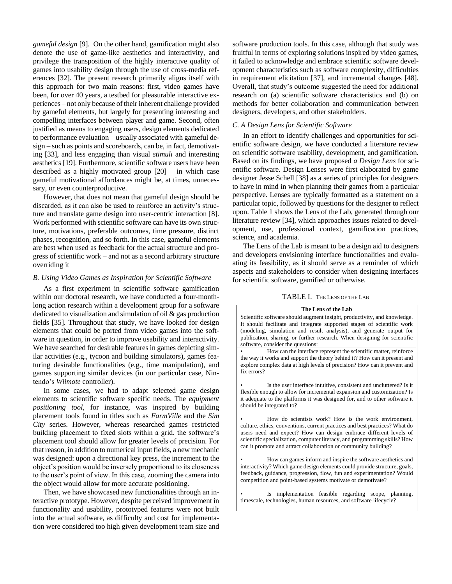*gameful design* [9]. On the other hand, gamification might also denote the use of game-like aesthetics and interactivity, and privilege the transposition of the highly interactive quality of games into usability design through the use of cross-media references [32]. The present research primarily aligns itself with this approach for two main reasons: first, video games have been, for over 40 years, a testbed for pleasurable interactive experiences – not only because of their inherent challenge provided by gameful elements, but largely for presenting interesting and compelling interfaces between player and game. Second, often justified as means to engaging users, design elements dedicated to performance evaluation – usually associated with gameful design – such as points and scoreboards, can be, in fact, demotivating [33], and less engaging than visual *stimuli* and interesting aesthetics [19]. Furthermore, scientific software users have been described as a highly motivated group [20] – in which case gameful motivational affordances might be, at times, unnecessary, or even counterproductive.

However, that does not mean that gameful design should be discarded, as it can also be used to reinforce an activity's structure and translate game design into user-centric interaction [8]. Work performed with scientific software can have its own structure, motivations, preferable outcomes, time pressure, distinct phases, recognition, and so forth. In this case, gameful elements are best when used as feedback for the actual structure and progress of scientific work – and not as a second arbitrary structure overriding it

## *B. Using Video Games as Inspiration for Scientific Software*

As a first experiment in scientific software gamification within our doctoral research, we have conducted a four-monthlong action research within a development group for a software dedicated to visualization and simulation of oil & gas production fields [35]. Throughout that study, we have looked for design elements that could be ported from video games into the software in question, in order to improve usability and interactivity. We have searched for desirable features in games depicting similar activities (e.g., tycoon and building simulators), games featuring desirable functionalities (e.g., time manipulation), and games supporting similar devices (in our particular case, Nintendo's *Wiimote* controller).

In some cases, we had to adapt selected game design elements to scientific software specific needs. The *equipment positioning tool*, for instance, was inspired by building placement tools found in titles such as *FarmVille* and the *Sim City* series. However, whereas researched games restricted building placement to fixed slots within a grid, the software's placement tool should allow for greater levels of precision. For that reason, in addition to numerical input fields, a new mechanic was designed: upon a directional key press, the increment to the object's position would be inversely proportional to its closeness to the user's point of view. In this case, zooming the camera into the object would allow for more accurate positioning.

Then, we have showcased new functionalities through an interactive prototype. However, despite perceived improvement in functionality and usability, prototyped features were not built into the actual software, as difficulty and cost for implementation were considered too high given development team size and software production tools. In this case, although that study was fruitful in terms of exploring solutions inspired by video games, it failed to acknowledge and embrace scientific software development characteristics such as software complexity, difficulties in requirement elicitation [37], and incremental changes [48]. Overall, that study's outcome suggested the need for additional research on (a) scientific software characteristics and (b) on methods for better collaboration and communication between designers, developers, and other stakeholders.

# *C. A Design Lens for Scientific Software*

In an effort to identify challenges and opportunities for scientific software design, we have conducted a literature review on scientific software usability, development, and gamification. Based on its findings, we have proposed *a Design Lens* for scientific software. Design Lenses were first elaborated by game designer Jesse Schell [38] as a series of principles for designers to have in mind in when planning their games from a particular perspective. Lenses are typically formatted as a statement on a particular topic, followed by questions for the designer to reflect upon. Table 1 shows the Lens of the Lab, generated through our literature review [34], which approaches issues related to development, use, professional context, gamification practices, science, and academia.

The Lens of the Lab is meant to be a design aid to designers and developers envisioning interface functionalities and evaluating its feasibility, as it should serve as a reminder of which aspects and stakeholders to consider when designing interfaces for scientific software, gamified or otherwise.

## TABLE I. THE LENS OF THE LAB

#### **The Lens of the Lab**

Scientific software should augment insight, productivity, and knowledge. It should facilitate and integrate supported stages of scientific work (modeling, simulation and result analysis), and generate output for publication, sharing, or further research. When designing for scientific software, consider the questions:

• How can the interface represent the scientific matter, reinforce the way it works and support the theory behind it? How can it present and explore complex data at high levels of precision? How can it prevent and fix errors?

Is the user interface intuitive, consistent and uncluttered? Is it flexible enough to allow for incremental expansion and customization? Is it adequate to the platforms it was designed for, and to other software it should be integrated to?

• How do scientists work? How is the work environment, culture, ethics, conventions, current practices and best practices? What do users need and expect? How can design embrace different levels of scientific specialization, computer literacy, and programming skills? How can it promote and attract collaboration or community building?

• How can games inform and inspire the software aesthetics and interactivity? Which game design elements could provide structure, goals, feedback, guidance, progression, flow, fun and experimentation? Would competition and point-based systems motivate or demotivate?

Is implementation feasible regarding scope, planning, timescale, technologies, human resources, and software lifecycle?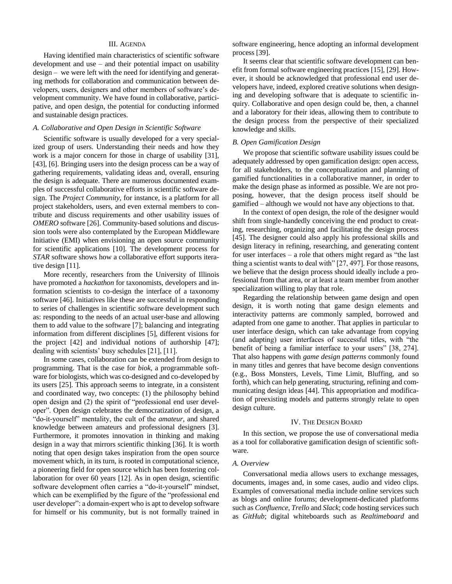## III. AGENDA

Having identified main characteristics of scientific software development and use – and their potential impact on usability design – we were left with the need for identifying and generating methods for collaboration and communication between developers, users, designers and other members of software's development community. We have found in collaborative, participative, and open design, the potential for conducting informed and sustainable design practices.

## *A. Collaborative and Open Design in Scientific Software*

Scientific software is usually developed for a very specialized group of users. Understanding their needs and how they work is a major concern for those in charge of usability [31], [43], [6]. Bringing users into the design process can be a way of gathering requirements, validating ideas and, overall, ensuring the design is adequate. There are numerous documented examples of successful collaborative efforts in scientific software design. The *Project Community*, for instance, is a platform for all project stakeholders, users, and even external members to contribute and discuss requirements and other usability issues of *OMERO* software [26]. Community-based solutions and discussion tools were also contemplated by the European Middleware Initiative (EMI) when envisioning an open source community for scientific applications [10]. The development process for *STAR* software shows how a collaborative effort supports iterative design [11].

More recently, researchers from the University of Illinois have promoted a *hackathon* for taxonomists, developers and information scientists to co-design the interface of a taxonomy software [46]. Initiatives like these are successful in responding to series of challenges in scientific software development such as: responding to the needs of an actual user-base and allowing them to add value to the software [7]; balancing and integrating information from different disciplines [5], different visions for the project [42] and individual notions of authorship [47]; dealing with scientists' busy schedules [21], [11].

In some cases, collaboration can be extended from design to programming. That is the case for *biok*, a programmable software for biologists, which was co-designed and co-developed by its users [25]. This approach seems to integrate, in a consistent and coordinated way, two concepts: (1) the philosophy behind open design and (2) the spirit of "professional end user developer". Open design celebrates the democratization of design, a "do-it-yourself" mentality, the cult of the *amateur*, and shared knowledge between amateurs and professional designers [3]. Furthermore, it promotes innovation in thinking and making design in a way that mirrors scientific thinking [36]. It is worth noting that open design takes inspiration from the open source movement which, in its turn, is rooted in computational science, a pioneering field for open source which has been fostering collaboration for over 60 years [12]. As in open design, scientific software development often carries a "do-it-yourself" mindset, which can be exemplified by the figure of the "professional end user developer": a domain-expert who is apt to develop software for himself or his community, but is not formally trained in

software engineering, hence adopting an informal development process [39].

It seems clear that scientific software development can benefit from formal software engineering practices [15], [29]. However, it should be acknowledged that professional end user developers have, indeed, explored creative solutions when designing and developing software that is adequate to scientific inquiry. Collaborative and open design could be, then, a channel and a laboratory for their ideas, allowing them to contribute to the design process from the perspective of their specialized knowledge and skills.

## *B. Open Gamification Design*

We propose that scientific software usability issues could be adequately addressed by open gamification design: open access, for all stakeholders, to the conceptualization and planning of gamified functionalities in a collaborative manner, in order to make the design phase as informed as possible. We are not proposing, however, that the design process itself should be gamified – although we would not have any objections to that.

In the context of open design, the role of the designer would shift from single-handedly conceiving the end product to creating, researching, organizing and facilitating the design process [45]. The designer could also apply his professional skills and design literacy in refining, researching, and generating content for user interfaces – a role that others might regard as "the last thing a scientist wants to deal with" [27, 497]. For those reasons, we believe that the design process should ideally include a professional from that area, or at least a team member from another specialization willing to play that role.

Regarding the relationship between game design and open design, it is worth noting that game design elements and interactivity patterns are commonly sampled, borrowed and adapted from one game to another. That applies in particular to user interface design, which can take advantage from copying (and adapting) user interfaces of successful titles, with "the benefit of being a familiar interface to your users" [38, 274]. That also happens with *game design patterns* commonly found in many titles and genres that have become design conventions (e.g., Boss Monsters, Levels, Time Limit, Bluffing, and so forth), which can help generating, structuring, refining and communicating design ideas [44]. This appropriation and modification of preexisting models and patterns strongly relate to open design culture.

## IV. THE DESIGN BOARD

In this section, we propose the use of conversational media as a tool for collaborative gamification design of scientific software.

## *A. Overview*

Conversational media allows users to exchange messages, documents, images and, in some cases, audio and video clips. Examples of conversational media include online services such as blogs and online forums; development-dedicated platforms such as *Confluence*, *Trello* and *Slack*; code hosting services such as *GitHub*; digital whiteboards such as *Realtimeboard* and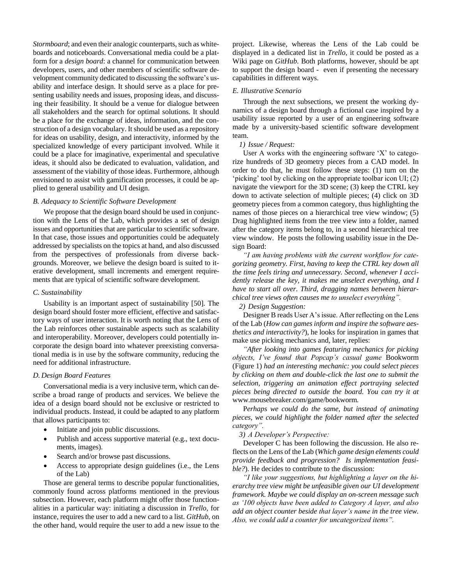*Stormboard*; and even their analogic counterparts, such as whiteboards and noticeboards. Conversational media could be a platform for a *design board*: a channel for communication between developers, users, and other members of scientific software development community dedicated to discussing the software's usability and interface design. It should serve as a place for presenting usability needs and issues, proposing ideas, and discussing their feasibility. It should be a venue for dialogue between all stakeholders and the search for optimal solutions. It should be a place for the exchange of ideas, information, and the construction of a design vocabulary. It should be used as a repository for ideas on usability, design, and interactivity, informed by the specialized knowledge of every participant involved. While it could be a place for imaginative, experimental and speculative ideas, it should also be dedicated to evaluation, validation, and assessment of the viability of those ideas. Furthermore, although envisioned to assist with gamification processes, it could be applied to general usability and UI design.

## *B. Adequacy to Scientific Software Development*

We propose that the design board should be used in conjunction with the Lens of the Lab, which provides a set of design issues and opportunities that are particular to scientific software. In that case, those issues and opportunities could be adequately addressed by specialists on the topics at hand, and also discussed from the perspectives of professionals from diverse backgrounds. Moreover, we believe the design board is suited to iterative development, small increments and emergent requirements that are typical of scientific software development.

## *C. Sustainability*

Usability is an important aspect of sustainability [50]. The design board should foster more efficient, effective and satisfactory ways of user interaction. It is worth noting that the Lens of the Lab reinforces other sustainable aspects such as scalability and interoperability. Moreover, developers could potentially incorporate the design board into whatever preexisting conversational media is in use by the software community, reducing the need for additional infrastructure.

## *D. Design Board Features*

Conversational media is a very inclusive term, which can describe a broad range of products and services. We believe the idea of a design board should not be exclusive or restricted to individual products. Instead, it could be adapted to any platform that allows participants to:

- Initiate and join public discussions.
- Publish and access supportive material (e.g., text documents, images).
- Search and/or browse past discussions.
- Access to appropriate design guidelines (i.e., the Lens of the Lab)

Those are general terms to describe popular functionalities, commonly found across platforms mentioned in the previous subsection. However, each platform might offer those functionalities in a particular way: initiating a discussion in *Trello*, for instance, requires the user to add a new card to a list. *GitHub*, on the other hand, would require the user to add a new issue to the project. Likewise, whereas the Lens of the Lab could be displayed in a dedicated list in *Trello*, it could be posted as a Wiki page on *GitHub*. Both platforms, however, should be apt to support the design board - even if presenting the necessary capabilities in different ways.

#### *E. Illustrative Scenario*

Through the next subsections, we present the working dynamics of a design board through a fictional case inspired by a usability issue reported by a user of an engineering software made by a university-based scientific software development team.

## *1) Issue / Request:*

User A works with the engineering software 'X' to categorize hundreds of 3D geometry pieces from a CAD model. In order to do that, he must follow these steps: (1) turn on the 'picking' tool by clicking on the appropriate toolbar icon UI; (2) navigate the viewport for the 3D scene; (3) keep the CTRL key down to activate selection of multiple pieces; (4) click on 3D geometry pieces from a common category, thus highlighting the names of those pieces on a hierarchical tree view window; (5) Drag highlighted items from the tree view into a folder, named after the category items belong to, in a second hierarchical tree view window. He posts the following usability issue in the Design Board:

*"I am having problems with the current workflow for categorizing geometry. First, having to keep the CTRL key down all the time feels tiring and unnecessary. Second, whenever I accidently release the key, it makes me unselect everything, and I have to start all over. Third, dragging names between hierarchical tree views often causes me to unselect everything".* 

## *2) Design Suggestion:*

Designer B reads User A's issue. After reflecting on the Lens of the Lab (*How can games inform and inspire the software aesthetics and interactivity?*), he looks for inspiration in games that make use picking mechanics and, later, replies:

*"After looking into games featuring mechanics for picking objects, I've found that Popcap's casual game* Bookworm (Figure 1) *had an interesting mechanic: you could select pieces by clicking on them and double-click the last one to submit the selection, triggering an animation effect portraying selected pieces being directed to outside the board. You can try it at*  www.mousebreaker.com/game/bookworm*.* 

P*erhaps we could do the same, but instead of animating pieces, we could highlight the folder named after the selected category".* 

*3) A Developer's Perspective:*

Developer C has been following the discussion. He also reflects on the Lens of the Lab (*Which game design elements could provide feedback and progression? Is implementation feasible?*). He decides to contribute to the discussion:

*"I like your suggestions, but highlighting a layer on the hierarchy tree view might be unfeasible given our UI development framework. Maybe we could display an on-screen message such as '100 objects have been added to Category A layer, and also add an object counter beside that layer's name in the tree view. Also, we could add a counter for uncategorized items".*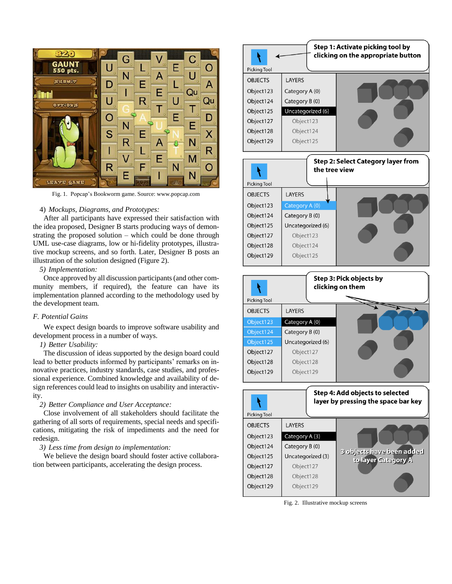

Fig. 1. Popcap's Bookworm game. Source: www.popcap.com

## 4) *Mockups, Diagrams, and Prototypes:*

After all participants have expressed their satisfaction with the idea proposed, Designer B starts producing ways of demonstrating the proposed solution – which could be done through UML use-case diagrams, low or hi-fidelity prototypes, illustrative mockup screens, and so forth. Later, Designer B posts an illustration of the solution designed (Figure 2).

# *5) Implementation:*

Once approved by all discussion participants (and other community members, if required), the feature can have its implementation planned according to the methodology used by the development team.

## *F. Potential Gains*

We expect design boards to improve software usability and development process in a number of ways.

## *1) Better Usability:*

The discussion of ideas supported by the design board could lead to better products informed by participants' remarks on innovative practices, industry standards, case studies, and professional experience. Combined knowledge and availability of design references could lead to insights on usability and interactivity.

#### *2) Better Compliance and User Acceptance:*

Close involvement of all stakeholders should facilitate the gathering of all sorts of requirements, special needs and specifications, mitigating the risk of impediments and the need for redesign.

# *3) Less time from design to implementation:*

We believe the design board should foster active collaboration between participants, accelerating the design process.

| Step 1: Activate picking tool by<br>clicking on the appropriate button<br><b>Picking Tool</b> |                   |  |
|-----------------------------------------------------------------------------------------------|-------------------|--|
| <b>OBJECTS</b>                                                                                | LAYERS            |  |
| Object123                                                                                     | Category A (0)    |  |
| Object124                                                                                     | Category B (0)    |  |
| Object125                                                                                     | Uncategorized (6) |  |
| Object127                                                                                     | Object123         |  |
| Object128                                                                                     | Object124         |  |
| Object129                                                                                     | Object125         |  |







Fig. 2. Illustrative mockup screens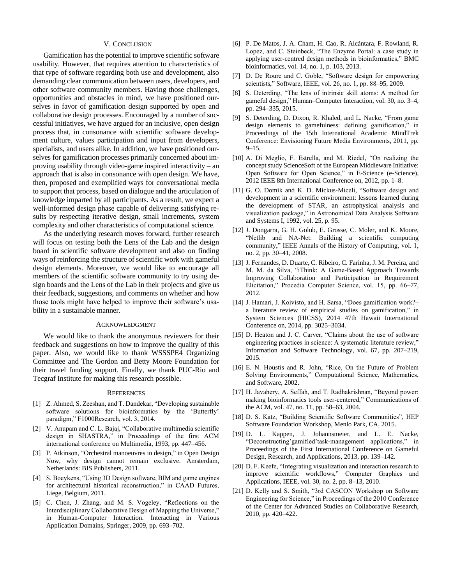#### V. CONCLUSION

Gamification has the potential to improve scientific software usability. However, that requires attention to characteristics of that type of software regarding both use and development, also demanding clear communication between users, developers, and other software community members. Having those challenges, opportunities and obstacles in mind, we have positioned ourselves in favor of gamification design supported by open and collaborative design processes. Encouraged by a number of successful initiatives, we have argued for an inclusive, open design process that, in consonance with scientific software development culture, values participation and input from developers, specialists, and users alike. In addition, we have positioned ourselves for gamification processes primarily concerned about improving usability through video-game inspired interactivity – an approach that is also in consonance with open design. We have, then, proposed and exemplified ways for conversational media to support that process, based on dialogue and the articulation of knowledge imparted by all participants. As a result, we expect a well-informed design phase capable of delivering satisfying results by respecting iterative design, small increments, system complexity and other characteristics of computational science.

As the underlying research moves forward, further research will focus on testing both the Lens of the Lab and the design board in scientific software development and also on finding ways of reinforcing the structure of scientific work with gameful design elements. Moreover, we would like to encourage all members of the scientific software community to try using design boards and the Lens of the Lab in their projects and give us their feedback, suggestions, and comments on whether and how those tools might have helped to improve their software's usability in a sustainable manner.

## ACKNOWLEDGMENT

We would like to thank the anonymous reviewers for their feedback and suggestions on how to improve the quality of this paper. Also, we would like to thank WSSSPE4 Organizing Committee and The Gordon and Betty Moore Foundation for their travel funding support. Finally, we thank PUC-Rio and Tecgraf Institute for making this research possible.

## **REFERENCES**

- [1] Z. Ahmed, S. Zeeshan, and T. Dandekar, "Developing sustainable software solutions for bioinformatics by the 'Butterfly' paradigm," F1000Research, vol. 3, 2014.
- [2] V. Anupam and C. L. Bajaj, "Collaborative multimedia scientific design in SHASTRA," in Proceedings of the first ACM international conference on Multimedia, 1993, pp. 447–456.
- [3] P. Atkinson, "Orchestral manoeuvres in design," in Open Design Now, why design cannot remain exclusive. Amsterdam, Netherlands: BIS Publishers, 2011.
- [4] S. Boeykens, "Using 3D Design software, BIM and game engines for architectural historical reconstruction," in CAAD Futures, Liege, Belgium, 2011.
- [5] C. Chen, J. Zhang, and M. S. Vogeley, "Reflections on the Interdisciplinary Collaborative Design of Mapping the Universe," in Human-Computer Interaction. Interacting in Various Application Domains, Springer, 2009, pp. 693–702.
- [6] P. De Matos, J. A. Cham, H. Cao, R. Alcántara, F. Rowland, R. Lopez, and C. Steinbeck, "The Enzyme Portal: a case study in applying user-centred design methods in bioinformatics," BMC bioinformatics, vol. 14, no. 1, p. 103, 2013.
- [7] D. De Roure and C. Goble, "Software design for empowering scientists," Software, IEEE, vol. 26, no. 1, pp. 88–95, 2009.
- [8] S. Deterding, "The lens of intrinsic skill atoms: A method for gameful design," Human–Computer Interaction, vol. 30, no. 3–4, pp. 294–335, 2015.
- [9] S. Deterding, D. Dixon, R. Khaled, and L. Nacke, "From game design elements to gamefulness: defining gamification," in Proceedings of the 15th International Academic MindTrek Conference: Envisioning Future Media Environments, 2011, pp.  $9 - 15.$
- [10] A. Di Meglio, F. Estrella, and M. Riedel, "On realizing the concept study ScienceSoft of the European Middleware Initiative: Open Software for Open Science," in E-Science (e-Science), 2012 IEEE 8th International Conference on, 2012, pp. 1–8.
- [11] G. O. Domik and K. D. Mickus-Miceli, "Software design and development in a scientific environment: lessons learned during the development of STAR, an astrophysical analysis and visualization package," in Astronomical Data Analysis Software and Systems I, 1992, vol. 25, p. 95.
- [12] J. Dongarra, G. H. Golub, E. Grosse, C. Moler, and K. Moore, "Netlib and NA-Net: Building a scientific computing community," IEEE Annals of the History of Computing, vol. 1, no. 2, pp. 30–41, 2008.
- [13] J. Fernandes, D. Duarte, C. Ribeiro, C. Farinha, J. M. Pereira, and M. M. da Silva, "iThink: A Game-Based Approach Towards Improving Collaboration and Participation in Requirement Elicitation," Procedia Computer Science, vol. 15, pp. 66–77, 2012.
- [14] J. Hamari, J. Koivisto, and H. Sarsa, "Does gamification work?– a literature review of empirical studies on gamification," in System Sciences (HICSS), 2014 47th Hawaii International Conference on, 2014, pp. 3025–3034.
- [15] D. Heaton and J. C. Carver, "Claims about the use of software engineering practices in science: A systematic literature review,' Information and Software Technology, vol. 67, pp. 207–219, 2015.
- [16] E. N. Houstis and R. John, "Rice, On the Future of Problem Solving Environments," Computational Science, Mathematics, and Software, 2002.
- [17] H. Javahery, A. Seffah, and T. Radhakrishnan, "Beyond power: making bioinformatics tools user-centered," Communications of the ACM, vol. 47, no. 11, pp. 58–63, 2004.
- [18] D. S. Katz, "Building Scientific Software Communities", HEP Software Foundation Workshop, Menlo Park, CA, 2015.
- [19] D. L. Kappen, J. Johannsmeier, and L. E. Nacke, "Deconstructing'gamified'task-management applications," in Proceedings of the First International Conference on Gameful Design, Research, and Applications, 2013, pp. 139–142.
- [20] D. F. Keefe, "Integrating visualization and interaction research to improve scientific workflows," Computer Graphics and Applications, IEEE, vol. 30, no. 2, pp. 8–13, 2010.
- [21] D. Kelly and S. Smith, "3rd CASCON Workshop on Software Engineering for Science," in Proceedings of the 2010 Conference of the Center for Advanced Studies on Collaborative Research, 2010, pp. 420–422.